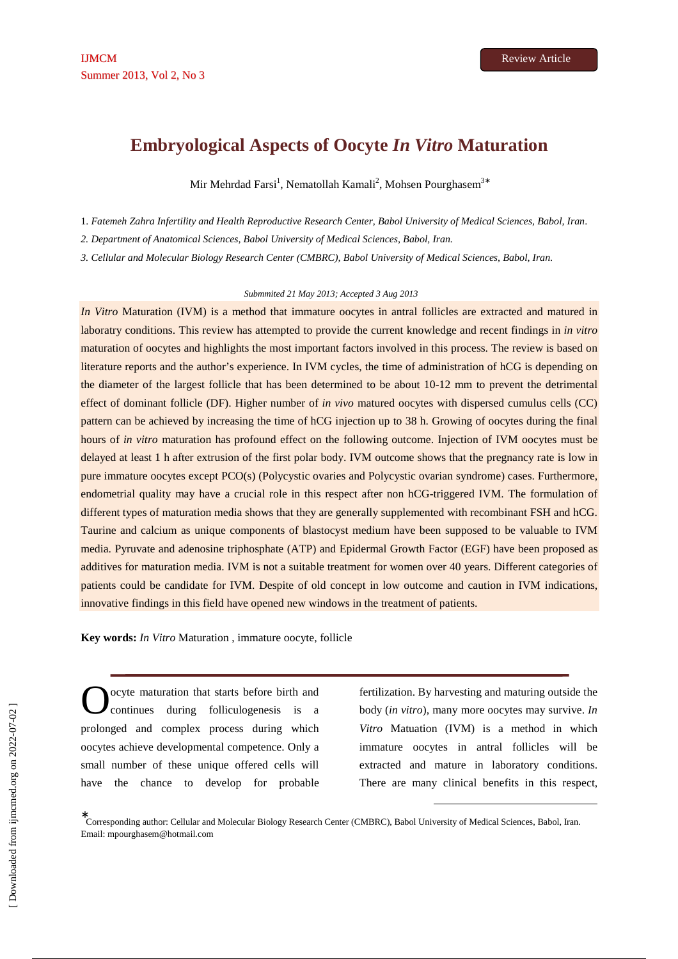# **Embryological Aspects of Oocyte** *In Vitro* **Maturation**

Mir Mehrdad Farsi<sup>1</sup>, Nematollah Kamali<sup>2</sup>, Mohsen Pourghasem<sup>3∗</sup>

1. *Fatemeh Zahra Infertility and Health Reproductive Research Center, Babol University of Medical Sciences, Babol, Iran*.

*2. Department of Anatomical Sciences, Babol University of Medical Sciences, Babol, Iran.* 

*3. Cellular and Molecular Biology Research Center (CMBRC), Babol University of Medical Sciences, Babol, Iran*.

### *Submmited 21 May 2013; Accepted 3 Aug 2013*

*In Vitro* Maturation (IVM) is a method that immature oocytes in antral follicles are extracted and matured in laboratry conditions. This review has attempted to provide the current knowledge and recent findings in *in vitro* maturation of oocytes and highlights the most important factors involved in this process. The review is based on literature reports and the author's experience. In IVM cycles, the time of administration of hCG is depending on the diameter of the largest follicle that has been determined to be about 10-12 mm to prevent the detrimental effect of dominant follicle (DF). Higher number of *in vivo* matured oocytes with dispersed cumulus cells (CC) pattern can be achieved by increasing the time of hCG injection up to 38 h. Growing of oocytes during the final hours of *in vitro* maturation has profound effect on the following outcome. Injection of IVM oocytes must be delayed at least 1 h after extrusion of the first polar body. IVM outcome shows that the pregnancy rate is low in pure immature oocytes except PCO(s) (Polycystic ovaries and Polycystic ovarian syndrome) cases. Furthermore, endometrial quality may have a crucial role in this respect after non hCG-triggered IVM. The formulation of different types of maturation media shows that they are generally supplemented with recombinant FSH and hCG. Taurine and calcium as unique components of blastocyst medium have been supposed to be valuable to IVM media. Pyruvate and adenosine triphosphate (ATP) and Epidermal Growth Factor (EGF) have been proposed as additives for maturation media. IVM is not a suitable treatment for women over 40 years. Different categories of patients could be candidate for IVM. Despite of old concept in low outcome and caution in IVM indications, innovative findings in this field have opened new windows in the treatment of patients.

**Key words:** *In Vitro* Maturation , immature oocyte, follicle

ocyte maturation that starts before birth and continues during folliculogenesis is a prolonged and complex process during which oocytes achieve developmental competence. Only a small number of these unique offered cells will have the chance to develop for probable O

fertilization. By harvesting and maturing outside the body (*in vitro*), many more oocytes may survive. *In Vitro* Matuation (IVM) is a method in which immature oocytes in antral follicles will be extracted and mature in laboratory conditions. There are many clinical benefits in this respect,

-

∗ Corresponding author: Cellular and Molecular Biology Research Center (CMBRC), Babol University of Medical Sciences, Babol, Iran. Email: mpourghasem@hotmail.com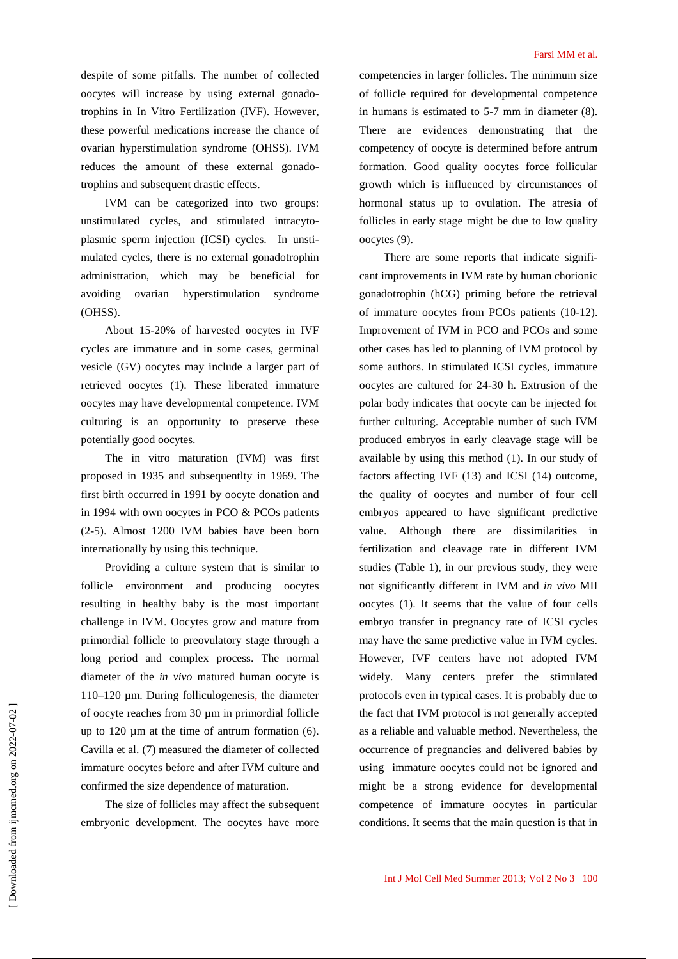despite of some pitfalls. The number of collected oocytes will increase by using external gonadotrophins in In Vitro Fertilization (IVF). However, these powerful medications increase the chance of ovarian hyperstimulation syndrome (OHSS). IVM reduces the amount of these external gonadotrophins and subsequent drastic effects.

IVM can be categorized into two groups: unstimulated cycles, and stimulated intracytoplasmic sperm injection (ICSI) cycles. In unstimulated cycles, there is no external gonadotrophin administration, which may be beneficial for avoiding ovarian hyperstimulation syndrome (OHSS).

About 15-20% of harvested oocytes in IVF cycles are immature and in some cases, germinal vesicle (GV) oocytes may include a larger part of retrieved oocytes (1). These liberated immature oocytes may have developmental competence. IVM culturing is an opportunity to preserve these potentially good oocytes.

The in vitro maturation (IVM) was first proposed in 1935 and subsequentlty in 1969. The first birth occurred in 1991 by oocyte donation and in 1994 with own oocytes in PCO & PCOs patients (2-5). Almost 1200 IVM babies have been born internationally by using this technique.

Providing a culture system that is similar to follicle environment and producing oocytes resulting in healthy baby is the most important challenge in IVM. Oocytes grow and mature from primordial follicle to preovulatory stage through a long period and complex process. The normal diameter of the *in vivo* matured human oocyte is 110–120 µm. During folliculogenesis, the diameter of oocyte reaches from 30 µm in primordial follicle up to  $120 \mu m$  at the time of antrum formation (6). Cavilla et al. (7) measured the diameter of collected immature oocytes before and after IVM culture and confirmed the size dependence of maturation.

The size of follicles may affect the subsequent embryonic development. The oocytes have more competencies in larger follicles. The minimum size of follicle required for developmental competence in humans is estimated to 5-7 mm in diameter (8). There are evidences demonstrating that the competency of oocyte is determined before antrum formation. Good quality oocytes force follicular growth which is influenced by circumstances of hormonal status up to ovulation. The atresia of follicles in early stage might be due to low quality oocytes (9).

There are some reports that indicate significant improvements in IVM rate by human chorionic gonadotrophin (hCG) priming before the retrieval of immature oocytes from PCOs patients (10-12). Improvement of IVM in PCO and PCOs and some other cases has led to planning of IVM protocol by some authors. In stimulated ICSI cycles, immature oocytes are cultured for 24-30 h. Extrusion of the polar body indicates that oocyte can be injected for further culturing. Acceptable number of such IVM produced embryos in early cleavage stage will be available by using this method (1). In our study of factors affecting IVF (13) and ICSI (14) outcome, the quality of oocytes and number of four cell embryos appeared to have significant predictive value. Although there are dissimilarities in fertilization and cleavage rate in different IVM studies (Table 1), in our previous study, they were not significantly different in IVM and *in vivo* MII oocytes (1). It seems that the value of four cells embryo transfer in pregnancy rate of ICSI cycles may have the same predictive value in IVM cycles. However, IVF centers have not adopted IVM widely. Many centers prefer the stimulated protocols even in typical cases. It is probably due to the fact that IVM protocol is not generally accepted as a reliable and valuable method. Nevertheless, the occurrence of pregnancies and delivered babies by using immature oocytes could not be ignored and might be a strong evidence for developmental competence of immature oocytes in particular conditions. It seems that the main question is that in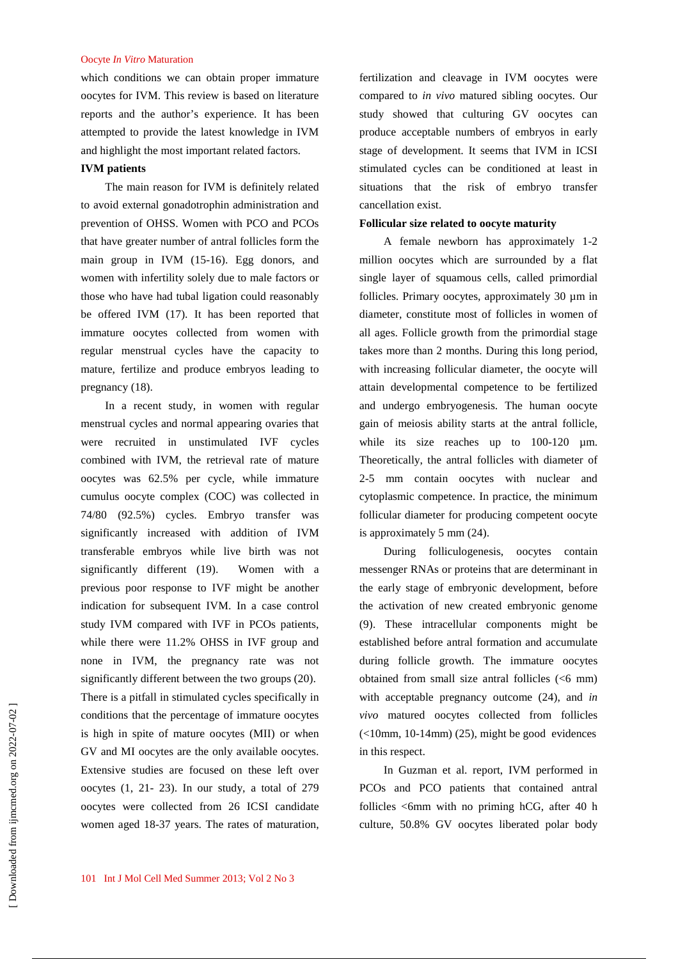which conditions we can obtain proper immature oocytes for IVM. This review is based on literature reports and the author's experience. It has been attempted to provide the latest knowledge in IVM and highlight the most important related factors.

# **IVM patients**

The main reason for IVM is definitely related to avoid external gonadotrophin administration and prevention of OHSS. Women with PCO and PCOs that have greater number of antral follicles form the main group in IVM (15-16). Egg donors, and women with infertility solely due to male factors or those who have had tubal ligation could reasonably be offered IVM (17). It has been reported that immature oocytes collected from women with regular menstrual cycles have the capacity to mature, fertilize and produce embryos leading to pregnancy (18).

In a recent study, in women with regular menstrual cycles and normal appearing ovaries that were recruited in unstimulated IVF cycles combined with IVM, the retrieval rate of mature oocytes was 62.5% per cycle, while immature cumulus oocyte complex (COC) was collected in 74/80 (92.5%) cycles. Embryo transfer was significantly increased with addition of IVM transferable embryos while live birth was not significantly different (19). Women with a previous poor response to IVF might be another indication for subsequent IVM. In a case control study IVM compared with IVF in PCOs patients, while there were 11.2% OHSS in IVF group and none in IVM, the pregnancy rate was not significantly different between the two groups (20). There is a pitfall in stimulated cycles specifically in conditions that the percentage of immature oocytes is high in spite of mature oocytes (MII) or when GV and MI oocytes are the only available oocytes. Extensive studies are focused on these left over oocytes (1, 21- 23). In our study, a total of 279 oocytes were collected from 26 ICSI candidate women aged 18-37 years. The rates of maturation,

fertilization and cleavage in IVM oocytes were compared to *in vivo* matured sibling oocytes. Our study showed that culturing GV oocytes can produce acceptable numbers of embryos in early stage of development. It seems that IVM in ICSI stimulated cycles can be conditioned at least in situations that the risk of embryo transfer cancellation exist.

## **Follicular size related to oocyte maturity**

A female newborn has approximately 1-2 million oocytes which are surrounded by a flat single layer of squamous cells, called primordial follicles. Primary oocytes, approximately 30 um in diameter, constitute most of follicles in women of all ages. Follicle growth from the primordial stage takes more than 2 months. During this long period, with increasing follicular diameter, the oocyte will attain developmental competence to be fertilized and undergo embryogenesis. The human oocyte gain of meiosis ability starts at the antral follicle, while its size reaches up to 100-120  $\mu$ m. Theoretically, the antral follicles with diameter of 2-5 mm contain oocytes with nuclear and cytoplasmic competence. In practice, the minimum follicular diameter for producing competent oocyte is approximately 5 mm (24).

During folliculogenesis, oocytes contain messenger RNAs or proteins that are determinant in the early stage of embryonic development, before the activation of new created embryonic genome (9). These intracellular components might be established before antral formation and accumulate during follicle growth. The immature oocytes obtained from small size antral follicles (<6 mm) with acceptable pregnancy outcome (24), and *in vivo* matured oocytes collected from follicles  $\left($  <10mm, 10-14mm) (25), might be good evidences in this respect.

In Guzman et al. report, IVM performed in PCOs and PCO patients that contained antral follicles <6mm with no priming hCG, after 40 h culture, 50.8% GV oocytes liberated polar body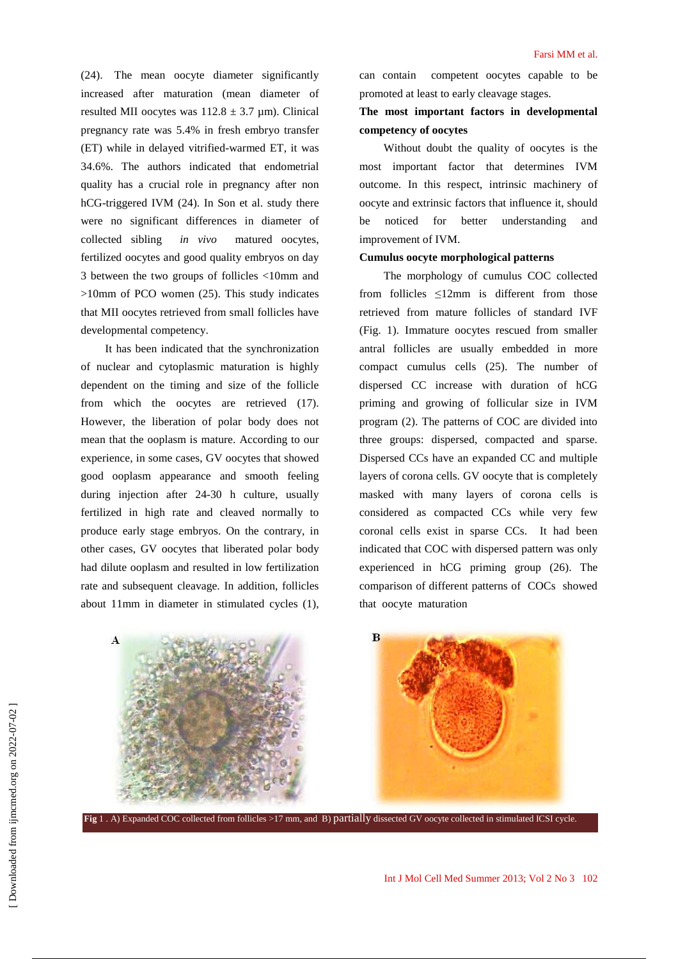(24). The mean oocyte diameter significantly increased after maturation (mean diameter of resulted MII oocytes was  $112.8 \pm 3.7$  um). Clinical pregnancy rate was 5.4% in fresh embryo transfer (ET) while in delayed vitrified-warmed ET, it was 34.6%. The authors indicated that endometrial quality has a crucial role in pregnancy after non hCG-triggered IVM (24). In Son et al. study there were no significant differences in diameter of collected sibling *in vivo* matured oocytes, fertilized oocytes and good quality embryos on day 3 between the two groups of follicles <10mm and >10mm of PCO women (25). This study indicates that MII oocytes retrieved from small follicles have developmental competency.

It has been indicated that the synchronization of nuclear and cytoplasmic maturation is highly dependent on the timing and size of the follicle from which the oocytes are retrieved (17). However, the liberation of polar body does not mean that the ooplasm is mature. According to our experience, in some cases, GV oocytes that showed good ooplasm appearance and smooth feeling during injection after 24-30 h culture, usually fertilized in high rate and cleaved normally to produce early stage embryos. On the contrary, in other cases, GV oocytes that liberated polar body had dilute ooplasm and resulted in low fertilization rate and subsequent cleavage. In addition, follicles about 11mm in diameter in stimulated cycles (1),

can contain competent oocytes capable to be promoted at least to early cleavage stages.

# **The most important factors in developmental competency of oocytes**

Without doubt the quality of oocytes is the most important factor that determines IVM outcome. In this respect, intrinsic machinery of oocyte and extrinsic factors that influence it, should be noticed for better understanding and improvement of IVM.

## **Cumulus oocyte morphological patterns**

The morphology of cumulus COC collected from follicles ≤12mm is different from those retrieved from mature follicles of standard IVF (Fig. 1). Immature oocytes rescued from smaller antral follicles are usually embedded in more compact cumulus cells (25). The number of dispersed CC increase with duration of hCG priming and growing of follicular size in IVM program (2). The patterns of COC are divided into three groups: dispersed, compacted and sparse. Dispersed CCs have an expanded CC and multiple layers of corona cells. GV oocyte that is completely masked with many layers of corona cells is considered as compacted CCs while very few coronal cells exist in sparse CCs. It had been indicated that COC with dispersed pattern was only experienced in hCG priming group (26). The comparison of different patterns of COCs showed that oocyte maturation



**Fig** 1 . A) Expanded COC collected from follicles >17 mm, and B) partially dissected GV oocyte collected in stimulated ICSI cycle.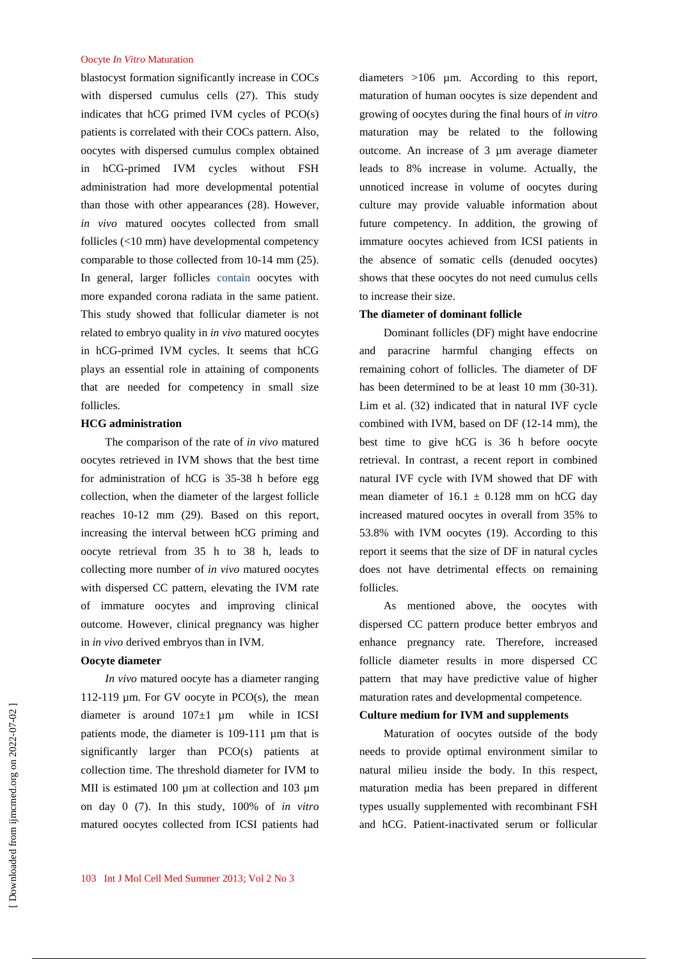blastocyst formation significantly increase in COCs with dispersed cumulus cells (27). This study indicates that hCG primed IVM cycles of PCO(s) patients is correlated with their COCs pattern. Also, oocytes with dispersed cumulus complex obtained in hCG-primed IVM cycles without FSH administration had more developmental potential than those with other appearances (28). However, *in vivo* matured oocytes collected from small follicles (<10 mm) have developmental competency comparable to those collected from 10-14 mm (25). In general, larger follicles contain oocytes with more expanded corona radiata in the same patient. This study showed that follicular diameter is not related to embryo quality in *in vivo* matured oocytes in hCG-primed IVM cycles. It seems that hCG plays an essential role in attaining of components that are needed for competency in small size follicles.

# **HCG administration**

The comparison of the rate of *in vivo* matured oocytes retrieved in IVM shows that the best time for administration of hCG is 35-38 h before egg collection, when the diameter of the largest follicle reaches 10-12 mm (29). Based on this report, increasing the interval between hCG priming and oocyte retrieval from 35 h to 38 h, leads to collecting more number of *in vivo* matured oocytes with dispersed CC pattern, elevating the IVM rate of immature oocytes and improving clinical outcome. However, clinical pregnancy was higher in *in vivo* derived embryos than in IVM.

## **Oocyte diameter**

*In vivo* matured oocyte has a diameter ranging 112-119 µm. For GV oocyte in PCO(s), the mean diameter is around  $107\pm1$  µm while in ICSI patients mode, the diameter is 109-111 µm that is significantly larger than PCO(s) patients at collection time. The threshold diameter for IVM to MII is estimated 100  $\mu$ m at collection and 103  $\mu$ m on day 0 (7). In this study, 100% of *in vitro* matured oocytes collected from ICSI patients had diameters >106 µm. According to this report, maturation of human oocytes is size dependent and growing of oocytes during the final hours of *in vitro* maturation may be related to the following outcome. An increase of 3 µm average diameter leads to 8% increase in volume. Actually, the unnoticed increase in volume of oocytes during culture may provide valuable information about future competency. In addition, the growing of immature oocytes achieved from ICSI patients in the absence of somatic cells (denuded oocytes) shows that these oocytes do not need cumulus cells to increase their size.

### **The diameter of dominant follicle**

Dominant follicles (DF) might have endocrine and paracrine harmful changing effects on remaining cohort of follicles. The diameter of DF has been determined to be at least 10 mm (30-31). Lim et al. (32) indicated that in natural IVF cycle combined with IVM, based on DF (12-14 mm), the best time to give hCG is 36 h before oocyte retrieval. In contrast, a recent report in combined natural IVF cycle with IVM showed that DF with mean diameter of  $16.1 \pm 0.128$  mm on hCG day increased matured oocytes in overall from 35% to 53.8% with IVM oocytes (19). According to this report it seems that the size of DF in natural cycles does not have detrimental effects on remaining follicles.

As mentioned above, the oocytes with dispersed CC pattern produce better embryos and enhance pregnancy rate. Therefore, increased follicle diameter results in more dispersed CC pattern that may have predictive value of higher maturation rates and developmental competence.

# **Culture medium for IVM and supplements**

Maturation of oocytes outside of the body needs to provide optimal environment similar to natural milieu inside the body. In this respect, maturation media has been prepared in different types usually supplemented with recombinant FSH and hCG. Patient-inactivated serum or follicular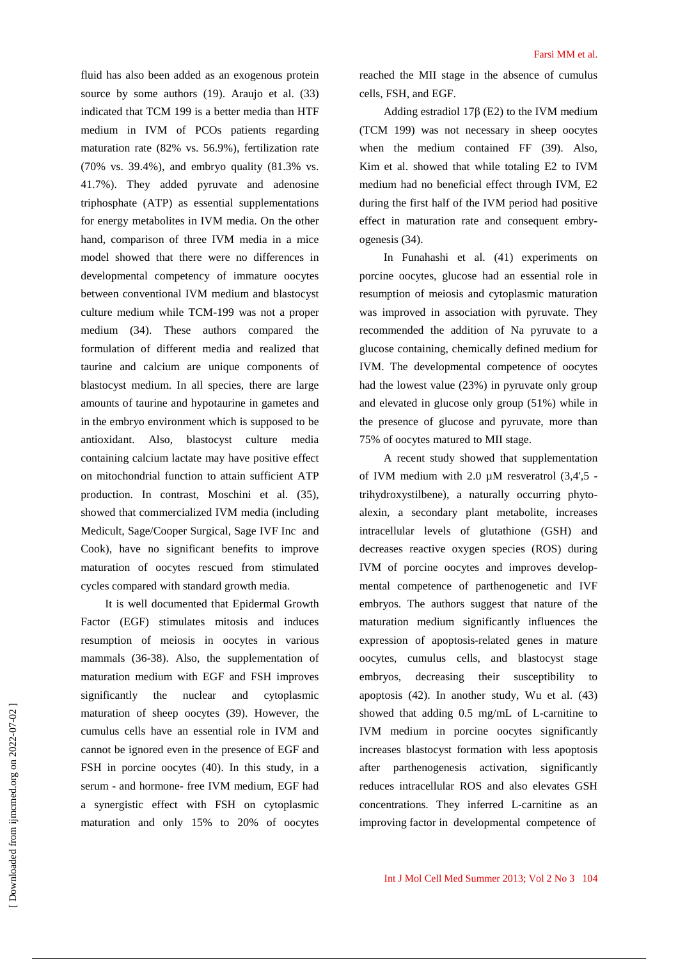fluid has also been added as an exogenous protein source by some authors (19). Araujo et al. (33) indicated that TCM 199 is a better media than HTF medium in IVM of PCOs patients regarding maturation rate (82% vs. 56.9%), fertilization rate (70% vs. 39.4%), and embryo quality (81.3% vs. 41.7%). They added pyruvate and adenosine triphosphate (ATP) as essential supplementations for energy metabolites in IVM media. On the other hand, comparison of three IVM media in a mice model showed that there were no differences in developmental competency of immature oocytes between conventional IVM medium and blastocyst culture medium while TCM-199 was not a proper medium (34). These authors compared the formulation of different media and realized that taurine and calcium are unique components of blastocyst medium. In all species, there are large amounts of taurine and hypotaurine in gametes and in the embryo environment which is supposed to be antioxidant. Also, blastocyst culture media containing calcium lactate may have positive effect on mitochondrial function to attain sufficient ATP production. In contrast, Moschini et al. (35), showed that commercialized IVM media (including Medicult, Sage/Cooper Surgical, Sage IVF Inc and Cook), have no significant benefits to improve maturation of oocytes rescued from stimulated cycles compared with standard growth media.

It is well documented that Epidermal Growth Factor (EGF) stimulates mitosis and induces resumption of meiosis in oocytes in various mammals (36-38). Also, the supplementation of maturation medium with EGF and FSH improves significantly the nuclear and cytoplasmic maturation of sheep oocytes (39). However, the cumulus cells have an essential role in IVM and cannot be ignored even in the presence of EGF and FSH in porcine oocytes (40). In this study, in a serum - and hormone- free IVM medium, EGF had a synergistic effect with FSH on cytoplasmic maturation and only 15% to 20% of oocytes

reached the MII stage in the absence of cumulus cells, FSH, and EGF.

Adding estradiol 17β (E2) to the IVM medium (TCM 199) was not necessary in sheep oocytes when the medium contained FF (39). Also, Kim et al. showed that while totaling E2 to IVM medium had no beneficial effect through IVM, E2 during the first half of the IVM period had positive effect in maturation rate and consequent embryogenesis (34).

In Funahashi et al. (41) experiments on porcine oocytes, glucose had an essential role in resumption of meiosis and cytoplasmic maturation was improved in association with pyruvate. They recommended the addition of Na pyruvate to a glucose containing, chemically defined medium for IVM. The developmental competence of oocytes had the lowest value (23%) in pyruvate only group and elevated in glucose only group (51%) while in the presence of glucose and pyruvate, more than 75% of oocytes matured to MII stage.

A recent study showed that supplementation of IVM medium with  $2.0 \mu$ M resveratrol  $(3,4',5)$  trihydroxystilbene), a naturally occurring phytoalexin, a secondary plant metabolite, increases intracellular levels of glutathione (GSH) and decreases reactive oxygen species (ROS) during IVM of porcine oocytes and improves developmental competence of parthenogenetic and IVF embryos. The authors suggest that nature of the maturation medium significantly influences the expression of apoptosis-related genes in mature oocytes, cumulus cells, and blastocyst stage embryos, decreasing their susceptibility to apoptosis (42). In another study, Wu et al. (43) showed that adding 0.5 mg/mL of L-carnitine to IVM medium in porcine oocytes significantly increases blastocyst formation with less apoptosis after parthenogenesis activation, significantly reduces intracellular ROS and also elevates GSH concentrations. They inferred L-carnitine as an improving factor in developmental competence of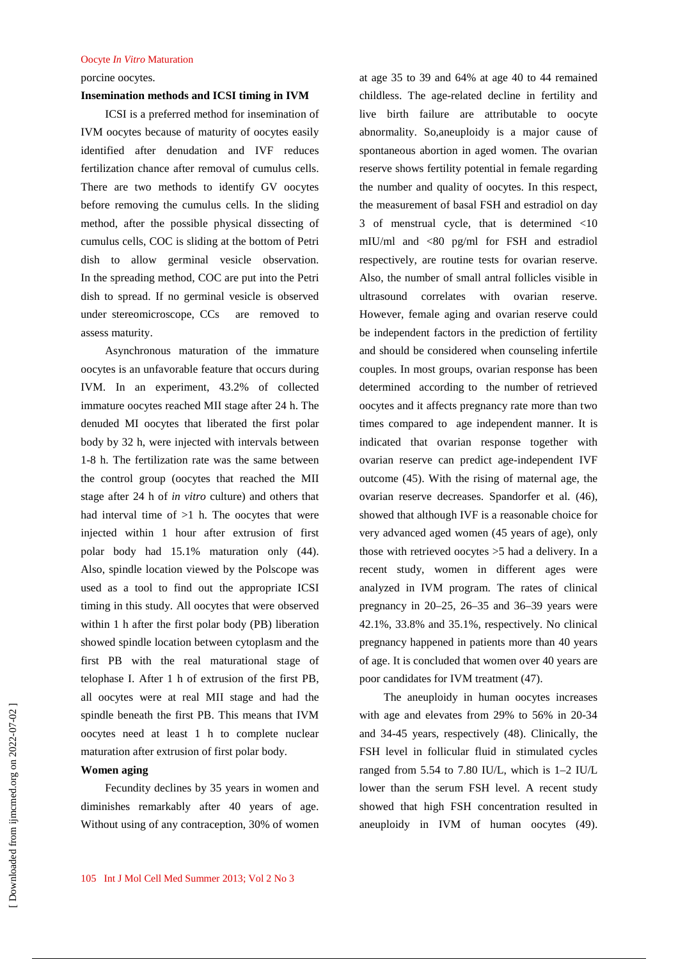porcine oocytes.

## **Insemination methods and ICSI timing in IVM**

ICSI is a preferred method for insemination of IVM oocytes because of maturity of oocytes easily identified after denudation and IVF reduces fertilization chance after removal of cumulus cells. There are two methods to identify GV oocytes before removing the cumulus cells. In the sliding method, after the possible physical dissecting of cumulus cells, COC is sliding at the bottom of Petri dish to allow germinal vesicle observation. In the spreading method, COC are put into the Petri dish to spread. If no germinal vesicle is observed under stereomicroscope, CCs are removed to assess maturity.

Asynchronous maturation of the immature oocytes is an unfavorable feature that occurs during IVM. In an experiment, 43.2% of collected immature oocytes reached MII stage after 24 h. The denuded MI oocytes that liberated the first polar body by 32 h, were injected with intervals between 1-8 h. The fertilization rate was the same between the control group (oocytes that reached the MII stage after 24 h of *in vitro* culture) and others that had interval time of  $>1$  h. The oocytes that were injected within 1 hour after extrusion of first polar body had 15.1% maturation only (44). Also, spindle location viewed by the Polscope was used as a tool to find out the appropriate ICSI timing in this study. All oocytes that were observed within 1 h after the first polar body (PB) liberation showed spindle location between cytoplasm and the first PB with the real maturational stage of telophase I. After 1 h of extrusion of the first PB, all oocytes were at real MII stage and had the spindle beneath the first PB. This means that IVM oocytes need at least 1 h to complete nuclear maturation after extrusion of first polar body.

# **Women aging**

Fecundity declines by 35 years in women and diminishes remarkably after 40 years of age. Without using of any contraception, 30% of women

at age 35 to 39 and 64% at age 40 to 44 remained childless. The age-related decline in fertility and live birth failure are attributable to oocyte abnormality. So,aneuploidy is a major cause of spontaneous abortion in aged women. The ovarian reserve shows fertility potential in female regarding the number and quality of oocytes. In this respect, the measurement of basal FSH and estradiol on day 3 of menstrual cycle, that is determined <10 mIU/ml and <80 pg/ml for FSH and estradiol respectively, are routine tests for ovarian reserve. Also, the number of small antral follicles visible in ultrasound correlates with ovarian reserve. However, female aging and ovarian reserve could be independent factors in the prediction of fertility and should be considered when counseling infertile couples. In most groups, ovarian response has been determined according to the number of retrieved oocytes and it affects pregnancy rate more than two times compared to age independent manner. It is indicated that ovarian response together with ovarian reserve can predict age-independent IVF outcome (45). With the rising of maternal age, the ovarian reserve decreases. Spandorfer et al. (46), showed that although IVF is a reasonable choice for very advanced aged women (45 years of age), only those with retrieved oocytes >5 had a delivery. In a recent study, women in different ages were analyzed in IVM program. The rates of clinical pregnancy in 20–25, 26–35 and 36–39 years were 42.1%, 33.8% and 35.1%, respectively. No clinical pregnancy happened in patients more than 40 years of age. It is concluded that women over 40 years are poor candidates for IVM treatment (47).

The aneuploidy in human oocytes increases with age and elevates from 29% to 56% in 20-34 and 34-45 years, respectively (48). Clinically, the FSH level in follicular fluid in stimulated cycles ranged from 5.54 to 7.80 IU/L, which is 1–2 IU/L lower than the serum FSH level. A recent study showed that high FSH concentration resulted in aneuploidy in IVM of human oocytes (49).

 [\[ Downloaded from ijmcmed.org on 2022-](https://ijmcmed.org/article-1-83-en.html)07-02 ] Downloaded from ijmcmed.org on 2022-07-02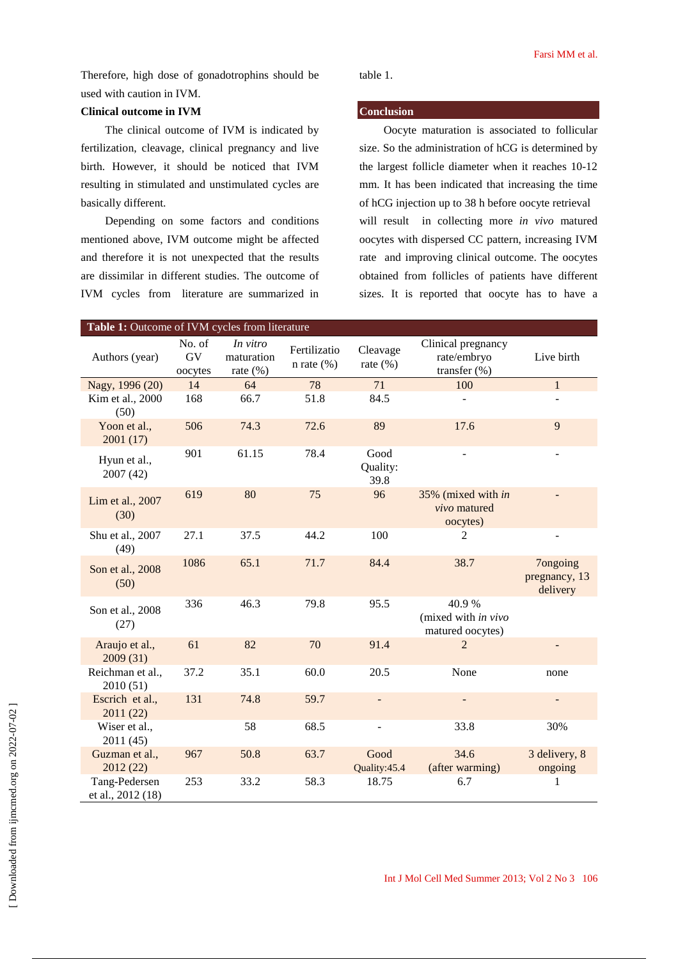Therefore, high dose of gonadotrophins should be used with caution in IVM.

# **Clinical outcome in IVM**

The clinical outcome of IVM is indicated by fertilization, cleavage, clinical pregnancy and live birth. However, it should be noticed that IVM resulting in stimulated and unstimulated cycles are basically different.

Depending on some factors and conditions mentioned above, IVM outcome might be affected and therefore it is not unexpected that the results are dissimilar in different studies. The outcome of IVM cycles from literature are summarized in

**Conclusion**

table 1.

Oocyte maturation is associated to follicular size. So the administration of hCG is determined by the largest follicle diameter when it reaches 10-12 mm. It has been indicated that increasing the time of hCG injection up to 38 h before oocyte retrieval will result in collecting more *in vivo* matured oocytes with dispersed CC pattern, increasing IVM rate and improving clinical outcome. The oocytes obtained from follicles of patients have different sizes. It is reported that oocyte has to have a

| Table 1: Outcome of IVM cycles from literature |                                 |                                       |                               |                          |                                                       |                                       |
|------------------------------------------------|---------------------------------|---------------------------------------|-------------------------------|--------------------------|-------------------------------------------------------|---------------------------------------|
| Authors (year)                                 | No. of<br>${\rm GV}$<br>oocytes | In vitro<br>maturation<br>rate $(\%)$ | Fertilizatio<br>n rate $(\%)$ | Cleavage<br>rate $(\% )$ | Clinical pregnancy<br>rate/embryo<br>transfer $(\% )$ | Live birth                            |
| Nagy, 1996 (20)                                | 14                              | 64                                    | 78                            | 71                       | 100                                                   | $\mathbf{1}$                          |
| Kim et al., 2000<br>(50)                       | 168                             | 66.7                                  | 51.8                          | 84.5                     |                                                       |                                       |
| Yoon et al.,<br>2001(17)                       | 506                             | 74.3                                  | 72.6                          | 89                       | 17.6                                                  | 9                                     |
| Hyun et al.,<br>2007 (42)                      | 901                             | 61.15                                 | 78.4                          | Good<br>Quality:<br>39.8 |                                                       |                                       |
| Lim et al., 2007<br>(30)                       | 619                             | 80                                    | 75                            | 96                       | 35% (mixed with in<br>vivo matured<br>oocytes)        |                                       |
| Shu et al., 2007<br>(49)                       | 27.1                            | 37.5                                  | 44.2                          | 100                      | 2                                                     |                                       |
| Son et al., 2008<br>(50)                       | 1086                            | 65.1                                  | 71.7                          | 84.4                     | 38.7                                                  | 7ongoing<br>pregnancy, 13<br>delivery |
| Son et al., 2008<br>(27)                       | 336                             | 46.3                                  | 79.8                          | 95.5                     | 40.9%<br>(mixed with in vivo<br>matured oocytes)      |                                       |
| Araujo et al.,<br>2009(31)                     | 61                              | 82                                    | 70                            | 91.4                     | $\overline{2}$                                        |                                       |
| Reichman et al.,<br>2010 (51)                  | 37.2                            | 35.1                                  | 60.0                          | 20.5                     | None                                                  | none                                  |
| Escrich et al.,<br>2011 (22)                   | 131                             | 74.8                                  | 59.7                          | $\overline{\phantom{a}}$ |                                                       |                                       |
| Wiser et al.,<br>2011 (45)                     |                                 | 58                                    | 68.5                          | $\blacksquare$           | 33.8                                                  | 30%                                   |
| Guzman et al.,<br>2012(22)                     | 967                             | 50.8                                  | 63.7                          | Good<br>Quality:45.4     | 34.6<br>(after warming)                               | 3 delivery, 8<br>ongoing              |
| Tang-Pedersen<br>et al., 2012 (18)             | 253                             | 33.2                                  | 58.3                          | 18.75                    | 6.7                                                   | 1                                     |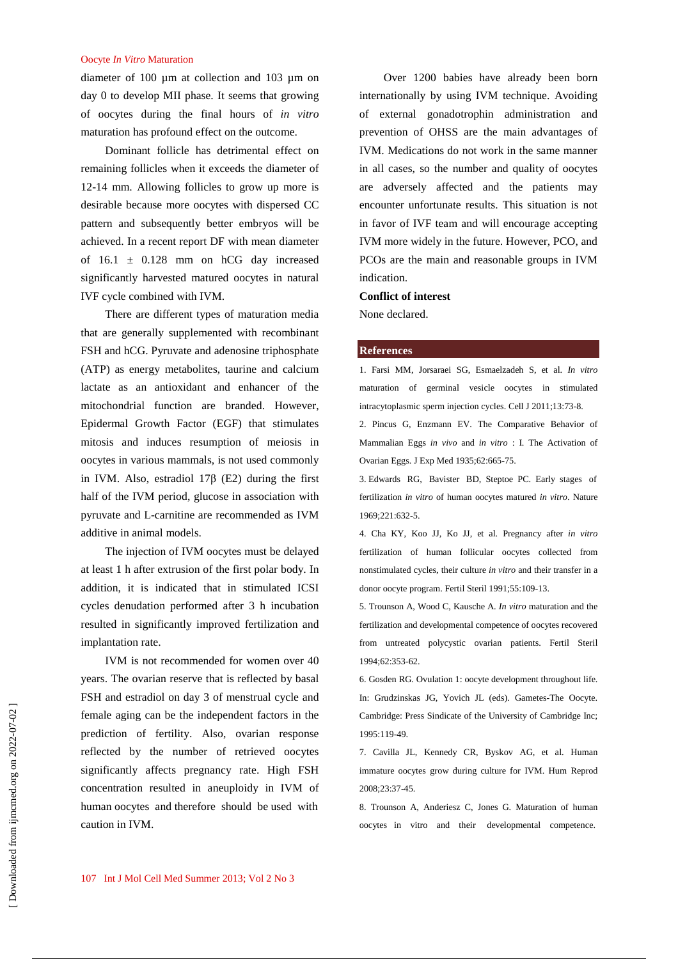diameter of 100 µm at collection and 103 µm on day 0 to develop MII phase. It seems that growing of oocytes during the final hours of *in vitro* maturation has profound effect on the outcome.

Dominant follicle has detrimental effect on remaining follicles when it exceeds the diameter of 12-14 mm. Allowing follicles to grow up more is desirable because more oocytes with dispersed CC pattern and subsequently better embryos will be achieved. In a recent report DF with mean diameter of  $16.1 \pm 0.128$  mm on hCG day increased significantly harvested matured oocytes in natural IVF cycle combined with IVM.

There are different types of maturation media that are generally supplemented with recombinant FSH and hCG. Pyruvate and adenosine triphosphate (ATP) as energy metabolites, taurine and calcium lactate as an antioxidant and enhancer of the mitochondrial function are branded. However, Epidermal Growth Factor (EGF) that stimulates mitosis and induces resumption of meiosis in oocytes in various mammals, is not used commonly in IVM. Also, estradiol 17β (E2) during the first half of the IVM period, glucose in association with pyruvate and L-carnitine are recommended as IVM additive in animal models.

The injection of IVM oocytes must be delayed at least 1 h after extrusion of the first polar body. In addition, it is indicated that in stimulated ICSI cycles denudation performed after 3 h incubation resulted in significantly improved fertilization and implantation rate.

IVM is not recommended for women over 40 years. The ovarian reserve that is reflected by basal FSH and estradiol on day 3 of menstrual cycle and female aging can be the independent factors in the prediction of fertility. Also, ovarian response reflected by the number of retrieved oocytes significantly affects pregnancy rate. High FSH concentration resulted in aneuploidy in IVM of human oocytes and therefore should be used with caution in IVM.

Over 1200 babies have already been born internationally by using IVM technique. Avoiding of external gonadotrophin administration and prevention of OHSS are the main advantages of IVM. Medications do not work in the same manner in all cases, so the number and quality of oocytes are adversely affected and the patients may encounter unfortunate results. This situation is not in favor of IVF team and will encourage accepting IVM more widely in the future. However, PCO, and PCOs are the main and reasonable groups in IVM indication.

### **Conflict of interest**

None declared.

#### **References**

1. Farsi MM, Jorsaraei SG, Esmaelzadeh S, et al. *In vitro* maturation of germinal vesicle oocytes in stimulated intracytoplasmic sperm injection cycles. Cell J 2011;13:73-8.

2. Pincus G, Enzmann EV. The Comparative Behavior of Mammalian Eggs *in vivo* and *in vitro* : I. The Activation of Ovarian Eggs. J Exp Med 1935;62:665-75.

3. Edwards RG, Bavister BD, Steptoe PC. Early stages of fertilization *in vitro* of human oocytes matured *in vitro*. Nature 1969;221:632-5.

4. Cha KY, Koo JJ, Ko JJ, et al. Pregnancy after *in vitro* fertilization of human follicular oocytes collected from nonstimulated cycles, their culture *in vitro* and their transfer in a donor oocyte program. Fertil Steril 1991;55:109-13.

5. Trounson A, Wood C, Kausche A. *In vitro* maturation and the fertilization and developmental competence of oocytes recovered from untreated polycystic ovarian patients. Fertil Steril 1994;62:353-62.

6. Gosden RG. Ovulation 1: oocyte development throughout life. In: Grudzinskas JG, Yovich JL (eds). Gametes-The Oocyte. Cambridge: Press Sindicate of the University of Cambridge Inc; 1995:119-49.

7. Cavilla JL, Kennedy CR, Byskov AG, et al. Human immature oocytes grow during culture for IVM. Hum Reprod 2008;23:37-45.

8. Trounson A, Anderiesz C, Jones G. Maturation of human oocytes in vitro and their developmental competence.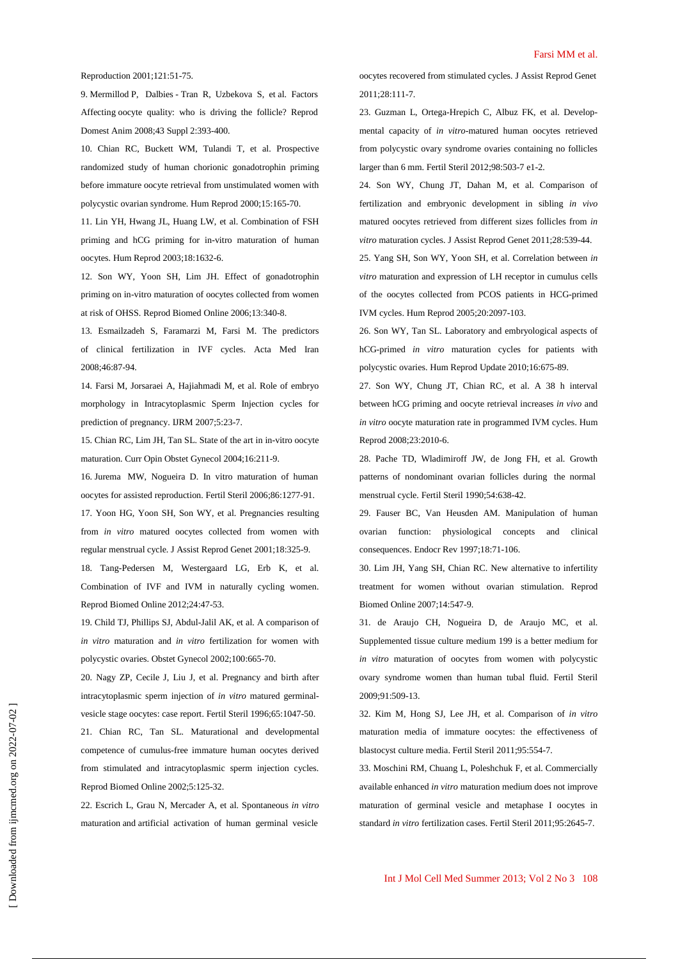#### Reproduction 2001;121:51-75.

9. Mermillod P, Dalbies - Tran R, Uzbekova S, et al. Factors Affecting oocyte quality: who is driving the follicle? Reprod Domest Anim 2008;43 Suppl 2:393-400.

10. Chian RC, Buckett WM, Tulandi T, et al. Prospective randomized study of human chorionic gonadotrophin priming before immature oocyte retrieval from unstimulated women with polycystic ovarian syndrome. Hum Reprod 2000;15:165-70.

11. Lin YH, Hwang JL, Huang LW, et al. Combination of FSH priming and hCG priming for in-vitro maturation of human oocytes. Hum Reprod 2003;18:1632-6.

12. Son WY, Yoon SH, Lim JH. Effect of gonadotrophin priming on in-vitro maturation of oocytes collected from women at risk of OHSS. Reprod Biomed Online 2006;13:340-8.

13. Esmailzadeh S, Faramarzi M, Farsi M. The predictors of clinical fertilization in IVF cycles. Acta Med Iran 2008;46:87-94.

14. Farsi M, Jorsaraei A, Hajiahmadi M, et al. Role of embryo morphology in Intracytoplasmic Sperm Injection cycles for prediction of pregnancy. IJRM 2007;5:23-7.

15. Chian RC, Lim JH, Tan SL. State of the art in in-vitro oocyte maturation. Curr Opin Obstet Gynecol 2004;16:211-9.

16. Jurema MW, Nogueira D. In vitro maturation of human oocytes for assisted reproduction. Fertil Steril 2006;86:1277-91.

17. Yoon HG, Yoon SH, Son WY, et al. Pregnancies resulting from *in vitro* matured oocytes collected from women with regular menstrual cycle. J Assist Reprod Genet 2001;18:325-9.

18. Tang-Pedersen M, Westergaard LG, Erb K, et al. Combination of IVF and IVM in naturally cycling women. Reprod Biomed Online 2012;24:47-53.

19. Child TJ, Phillips SJ, Abdul-Jalil AK, et al. A comparison of *in vitro* maturation and *in vitro* fertilization for women with polycystic ovaries. Obstet Gynecol 2002;100:665-70.

20. Nagy ZP, Cecile J, Liu J, et al. Pregnancy and birth after intracytoplasmic sperm injection of *in vitro* matured germinalvesicle stage oocytes: case report. Fertil Steril 1996;65:1047-50.

21. Chian RC, Tan SL. Maturational and developmental competence of cumulus-free immature human oocytes derived from stimulated and intracytoplasmic sperm injection cycles. Reprod Biomed Online 2002;5:125-32.

22. Escrich L, Grau N, Mercader A, et al. Spontaneous *in vitro* maturation and artificial activation of human germinal vesicle

oocytes recovered from stimulated cycles. J Assist Reprod Genet 2011;28:111-7.

23. Guzman L, Ortega-Hrepich C, Albuz FK, et al. Developmental capacity of *in vitro*-matured human oocytes retrieved from polycystic ovary syndrome ovaries containing no follicles larger than 6 mm. Fertil Steril 2012;98:503-7 e1-2.

24. Son WY, Chung JT, Dahan M, et al. Comparison of fertilization and embryonic development in sibling *in vivo* matured oocytes retrieved from different sizes follicles from *in vitro* maturation cycles. J Assist Reprod Genet 2011;28:539-44.

25. Yang SH, Son WY, Yoon SH, et al. Correlation between *in vitro* maturation and expression of LH receptor in cumulus cells of the oocytes collected from PCOS patients in HCG-primed IVM cycles. Hum Reprod 2005;20:2097-103.

26. Son WY, Tan SL. Laboratory and embryological aspects of hCG-primed *in vitro* maturation cycles for patients with polycystic ovaries. Hum Reprod Update 2010;16:675-89.

27. Son WY, Chung JT, Chian RC, et al. A 38 h interval between hCG priming and oocyte retrieval increases *in vivo* and *in vitro* oocyte maturation rate in programmed IVM cycles. Hum Reprod 2008;23:2010-6.

28. Pache TD, Wladimiroff JW, de Jong FH, et al. Growth patterns of nondominant ovarian follicles during the normal menstrual cycle. Fertil Steril 1990;54:638-42.

29. Fauser BC, Van Heusden AM. Manipulation of human ovarian function: physiological concepts and clinical consequences. Endocr Rev 1997;18:71-106.

30. Lim JH, Yang SH, Chian RC. New alternative to infertility treatment for women without ovarian stimulation. Reprod Biomed Online 2007;14:547-9.

31. de Araujo CH, Nogueira D, de Araujo MC, et al. Supplemented tissue culture medium 199 is a better medium for *in vitro* maturation of oocytes from women with polycystic ovary syndrome women than human tubal fluid. Fertil Steril 2009;91:509-13.

32. Kim M, Hong SJ, Lee JH, et al. Comparison of *in vitro* maturation media of immature oocytes: the effectiveness of blastocyst culture media. Fertil Steril 2011;95:554-7.

33. Moschini RM, Chuang L, Poleshchuk F, et al. Commercially available enhanced *in vitro* maturation medium does not improve maturation of germinal vesicle and metaphase I oocytes in standard *in vitro* fertilization cases. Fertil Steril 2011;95:2645-7.